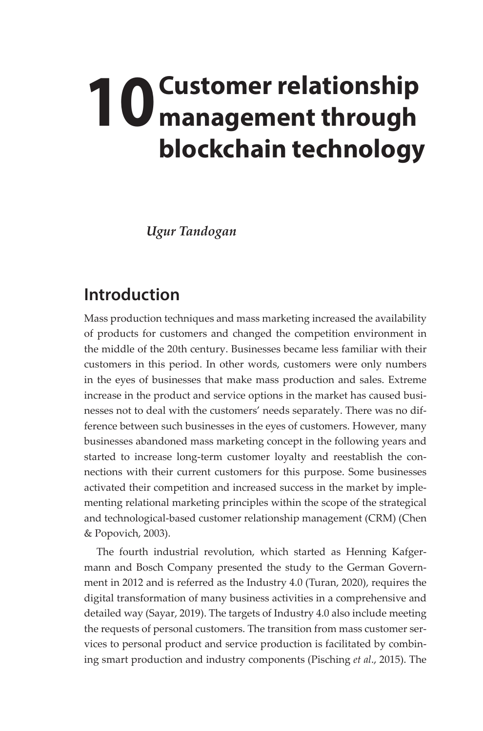## **10Customer relationship management through blockchain technology**

*Ugur Tandogan*

## **Introduction**

Mass production techniques and mass marketing increased the availability of products for customers and changed the competition environment in the middle of the 20th century. Businesses became less familiar with their customers in this period. In other words, customers were only numbers in the eyes of businesses that make mass production and sales. Extreme increase in the product and service options in the market has caused businesses not to deal with the customers' needs separately. There was no difference between such businesses in the eyes of customers. However, many businesses abandoned mass marketing concept in the following years and started to increase long-term customer loyalty and reestablish the connections with their current customers for this purpose. Some businesses activated their competition and increased success in the market by implementing relational marketing principles within the scope of the strategical and technological-based customer relationship management (CRM) (Chen & Popovich, 2003).

The fourth industrial revolution, which started as Henning Kafgermann and Bosch Company presented the study to the German Government in 2012 and is referred as the Industry 4.0 (Turan, 2020), requires the digital transformation of many business activities in a comprehensive and detailed way (Sayar, 2019). The targets of Industry 4.0 also include meeting the requests of personal customers. The transition from mass customer services to personal product and service production is facilitated by combining smart production and industry components (Pisching *et al*., 2015). The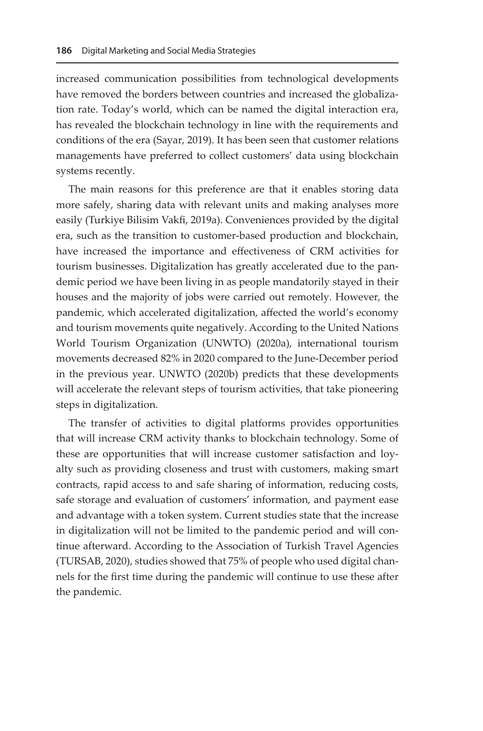increased communication possibilities from technological developments have removed the borders between countries and increased the globalization rate. Today's world, which can be named the digital interaction era, has revealed the blockchain technology in line with the requirements and conditions of the era (Sayar, 2019). It has been seen that customer relations managements have preferred to collect customers' data using blockchain systems recently.

The main reasons for this preference are that it enables storing data more safely, sharing data with relevant units and making analyses more easily (Turkiye Bilisim Vakfi, 2019a). Conveniences provided by the digital era, such as the transition to customer-based production and blockchain, have increased the importance and effectiveness of CRM activities for tourism businesses. Digitalization has greatly accelerated due to the pandemic period we have been living in as people mandatorily stayed in their houses and the majority of jobs were carried out remotely. However, the pandemic, which accelerated digitalization, affected the world's economy and tourism movements quite negatively. According to the United Nations World Tourism Organization (UNWTO) (2020a), international tourism movements decreased 82% in 2020 compared to the June-December period in the previous year. UNWTO (2020b) predicts that these developments will accelerate the relevant steps of tourism activities, that take pioneering steps in digitalization.

The transfer of activities to digital platforms provides opportunities that will increase CRM activity thanks to blockchain technology. Some of these are opportunities that will increase customer satisfaction and loyalty such as providing closeness and trust with customers, making smart contracts, rapid access to and safe sharing of information, reducing costs, safe storage and evaluation of customers' information, and payment ease and advantage with a token system. Current studies state that the increase in digitalization will not be limited to the pandemic period and will continue afterward. According to the Association of Turkish Travel Agencies (TURSAB, 2020), studies showed that 75% of people who used digital channels for the first time during the pandemic will continue to use these after the pandemic.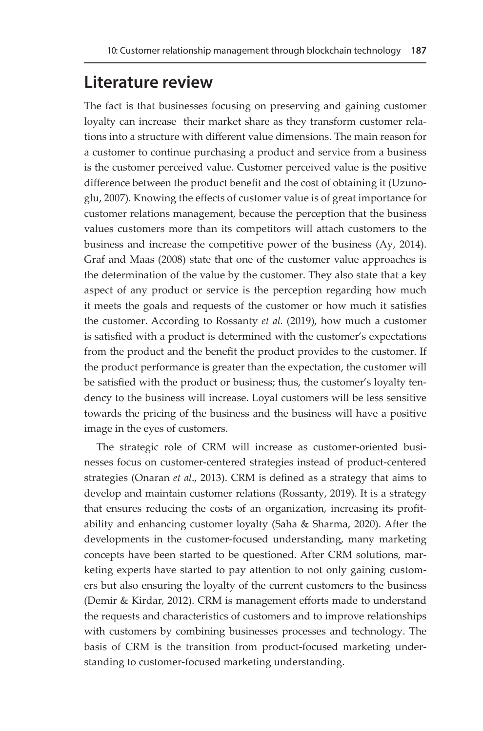## **Literature review**

The fact is that businesses focusing on preserving and gaining customer loyalty can increase their market share as they transform customer relations into a structure with different value dimensions. The main reason for a customer to continue purchasing a product and service from a business is the customer perceived value. Customer perceived value is the positive difference between the product benefit and the cost of obtaining it (Uzunoglu, 2007). Knowing the effects of customer value is of great importance for customer relations management, because the perception that the business values customers more than its competitors will attach customers to the business and increase the competitive power of the business (Ay, 2014). Graf and Maas (2008) state that one of the customer value approaches is the determination of the value by the customer. They also state that a key aspect of any product or service is the perception regarding how much it meets the goals and requests of the customer or how much it satisfies the customer. According to Rossanty *et al.* (2019), how much a customer is satisfied with a product is determined with the customer's expectations from the product and the benefit the product provides to the customer. If the product performance is greater than the expectation, the customer will be satisfied with the product or business; thus, the customer's loyalty tendency to the business will increase. Loyal customers will be less sensitive towards the pricing of the business and the business will have a positive image in the eyes of customers.

The strategic role of CRM will increase as customer-oriented businesses focus on customer-centered strategies instead of product-centered strategies (Onaran *et al*., 2013). CRM is defined as a strategy that aims to develop and maintain customer relations (Rossanty, 2019). It is a strategy that ensures reducing the costs of an organization, increasing its profitability and enhancing customer loyalty (Saha & Sharma, 2020). After the developments in the customer-focused understanding, many marketing concepts have been started to be questioned. After CRM solutions, marketing experts have started to pay attention to not only gaining customers but also ensuring the loyalty of the current customers to the business (Demir & Kirdar, 2012). CRM is management efforts made to understand the requests and characteristics of customers and to improve relationships with customers by combining businesses processes and technology. The basis of CRM is the transition from product-focused marketing understanding to customer-focused marketing understanding.